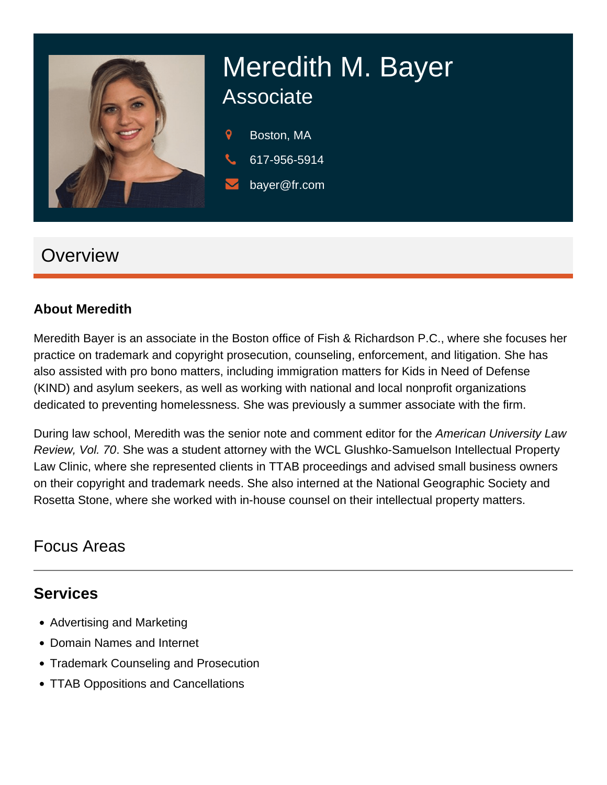

# Meredith M. Bayer Associate

9 Boston, MA

- 617-956-5914
- bayer@fr.com

# **Overview**

#### **About Meredith**

Meredith Bayer is an associate in the Boston office of Fish & Richardson P.C., where she focuses her practice on trademark and copyright prosecution, counseling, enforcement, and litigation. She has also assisted with pro bono matters, including immigration matters for Kids in Need of Defense (KIND) and asylum seekers, as well as working with national and local nonprofit organizations dedicated to preventing homelessness. She was previously a summer associate with the firm.

During law school, Meredith was the senior note and comment editor for the American University Law Review, Vol. 70. She was a student attorney with the WCL Glushko-Samuelson Intellectual Property Law Clinic, where she represented clients in TTAB proceedings and advised small business owners on their copyright and trademark needs. She also interned at the National Geographic Society and Rosetta Stone, where she worked with in-house counsel on their intellectual property matters.

## Focus Areas

## **Services**

- Advertising and Marketing
- Domain Names and Internet
- Trademark Counseling and Prosecution
- TTAB Oppositions and Cancellations